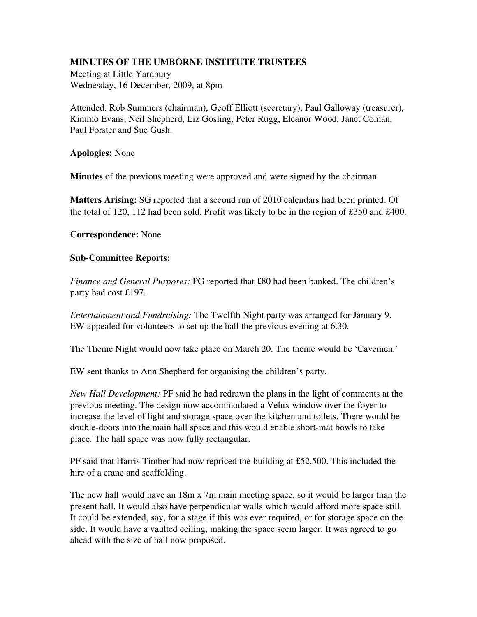## MINUTES OF THE UMBORNE INSTITUTE TRUSTEES

Meeting at Little Yardbury Wednesday, 16 December, 2009, at 8pm

Attended: Rob Summers (chairman), Geoff Elliott (secretary), Paul Galloway (treasurer), Kimmo Evans, Neil Shepherd, Liz Gosling, Peter Rugg, Eleanor Wood, Janet Coman, Paul Forster and Sue Gush.

## Apologies: None

**Minutes** of the previous meeting were approved and were signed by the chairman

Matters Arising: SG reported that a second run of 2010 calendars had been printed. Of the total of 120, 112 had been sold. Profit was likely to be in the region of £350 and £400.

## Correspondence: None

## **Sub-Committee Reports:**

*Finance and General Purposes:* PG reported that £80 had been banked. The children's party had cost £197.

*Entertainment and Fundraising:* The Twelfth Night party was arranged for January 9. EW appealed for volunteers to set up the hall the previous evening at 6.30.

The Theme Night would now take place on March 20. The theme would be 'Cavemen.'

EW sent thanks to Ann Shepherd for organising the children's party.

*New Hall Development:* PF said he had redrawn the plans in the light of comments at the previous meeting. The design now accommodated a Velux window over the foyer to increase the level of light and storage space over the kitchen and toilets. There would be double-doors into the main hall space and this would enable short-mat bowls to take place. The hall space was now fully rectangular.

PF said that Harris Timber had now repriced the building at £52,500. This included the hire of a crane and scaffolding.

The new hall would have an 18m x 7m main meeting space, so it would be larger than the present hall. It would also have perpendicular walls which would afford more space still. It could be extended, say, for a stage if this was ever required, or for storage space on the side. It would have a vaulted ceiling, making the space seem larger. It was agreed to go ahead with the size of hall now proposed.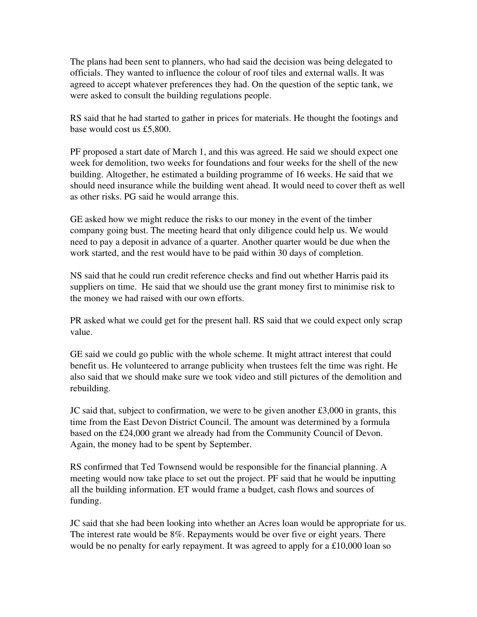The plans had been sent to planners, who had said the decision was being delegated to officials. They wanted to influence the colour of roof tiles and external walls. It was agreed to accept whatever preferences they had. On the question of the septic tank, we were asked to consult the building regulations people.

RS said that he had started to gather in prices for materials. He thought the footings and base would cost us £5,800.

PF proposed a start date of March 1, and this was agreed. He said we should expect one week for demolition, two weeks for foundations and four weeks for the shell of the new building. Altogether, he estimated a building programme of 16 weeks. He said that we should need insurance while the building went ahead. It would need to cover theft as well as other risks. PG said he would arrange this.

GE asked how we might reduce the risks to our money in the event of the timber company going bust. The meeting heard that only diligence could help us. We would need to pay a deposit in advance of a quarter. Another quarter would be due when the work started, and the rest would have to be paid within 30 days of completion.

NS said that he could run credit reference checks and find out whether Harris paid its suppliers on time. He said that we should use the grant money first to minimise risk to the money we had raised with our own efforts.

PR asked what we could get for the present hall. RS said that we could expect only scrap value.

GE said we could go public with the whole scheme. It might attract interest that could benefit us. He volunteered to arrange publicity when trustees felt the time was right. He also said that we should make sure we took video and still pictures of the demolition and rebuilding.

JC said that, subject to confirmation, we were to be given another  $£3,000$  in grants, this time from the East Devon District Council. The amount was determined by a formula based on the £24,000 grant we already had from the Community Council of Devon. Again, the money had to be spent by September.

RS confirmed that Ted Townsend would be responsible for the financial planning. A meeting would now take place to set out the project. PF said that he would be inputting all the building information. ET would frame a budget, cash flows and sources of funding.

JC said that she had been looking into whether an Acres loan would be appropriate for us. The interest rate would be 8%. Repayments would be over five or eight years. There would be no penalty for early repayment. It was agreed to apply for a £10,000 loan so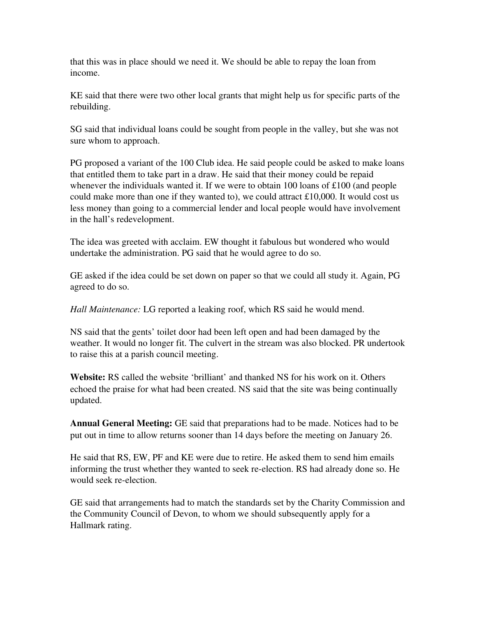that this was in place should we need it. We should be able to repay the loan from income.

KE said that there were two other local grants that might help us for specific parts of the rebuilding.

SG said that individual loans could be sought from people in the valley, but she was not sure whom to approach.

PG proposed a variant of the 100 Club idea. He said people could be asked to make loans that entitled them to take part in a draw. He said that their money could be repaid whenever the individuals wanted it. If we were to obtain 100 loans of £100 (and people could make more than one if they wanted to), we could attract £10,000. It would cost us less money than going to a commercial lender and local people would have involvement in the hall's redevelopment.

The idea was greeted with acclaim. EW thought it fabulous but wondered who would undertake the administration. PG said that he would agree to do so.

GE asked if the idea could be set down on paper so that we could all study it. Again, PG agreed to do so.

*Hall Maintenance:* LG reported a leaking roof, which RS said he would mend.

NS said that the gents' toilet door had been left open and had been damaged by the weather. It would no longer fit. The culvert in the stream was also blocked. PR undertook to raise this at a parish council meeting.

Website: RS called the website 'brilliant' and thanked NS for his work on it. Others echoed the praise for what had been created. NS said that the site was being continually updated.

Annual General Meeting: GE said that preparations had to be made. Notices had to be put out in time to allow returns sooner than 14 days before the meeting on January 26.

He said that RS, EW, PF and KE were due to retire. He asked them to send him emails informing the trust whether they wanted to seek re-election. RS had already done so. He would seek re-election.

GE said that arrangements had to match the standards set by the Charity Commission and the Community Council of Devon, to whom we should subsequently apply for a Hallmark rating.